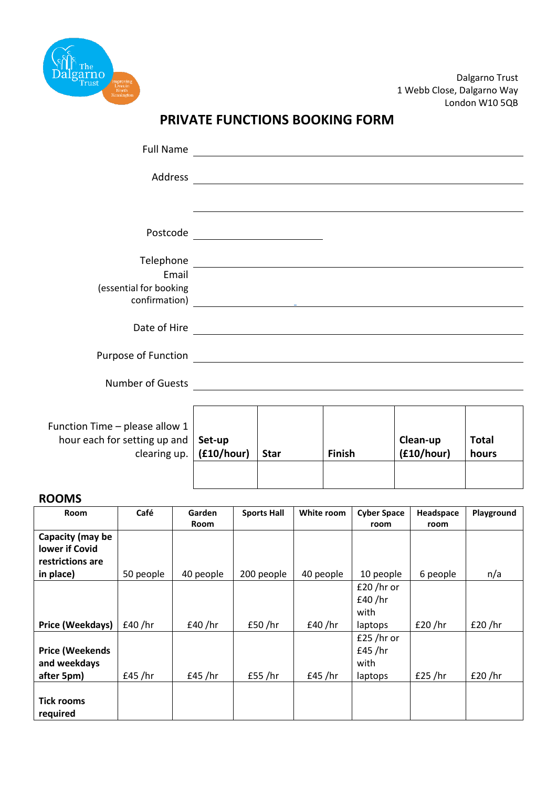

Dalgarno Trust 1 Webb Close, Dalgarno Way London W10 5QB

## **PRIVATE FUNCTIONS BOOKING FORM**

| <b>Full Name</b>               |            |             |                                                                                                                       |            |              |
|--------------------------------|------------|-------------|-----------------------------------------------------------------------------------------------------------------------|------------|--------------|
| Address                        |            |             | <u> 1989 - Andrea State Barbara, amerikan personal di sebagai personal di sebagai personal di sebagai personal di</u> |            |              |
|                                |            |             |                                                                                                                       |            |              |
| Postcode                       |            |             |                                                                                                                       |            |              |
| Telephone                      |            |             | <u> 1980 - Jan Samuel Barbara, martin di sebagai personal di sebagai personal di sebagai personal di sebagai per</u>  |            |              |
| Email                          |            |             |                                                                                                                       |            |              |
| (essential for booking         |            |             |                                                                                                                       |            |              |
| confirmation)                  |            |             | <u> 1989 - Johann Stein, mars an deutscher Stein († 1958)</u>                                                         |            |              |
| Date of Hire                   |            |             | <u> 1980 - Johann Stoff, fransk politik (d. 1980)</u>                                                                 |            |              |
| Purpose of Function            |            |             | <u> 1989 - Johann Stein, mars and de Britain (b. 1989)</u>                                                            |            |              |
|                                |            |             |                                                                                                                       |            |              |
| <b>Number of Guests</b>        |            |             | <u> 1980 - Jan Samuel Barbara, margaret eta idazlearia (h. 1980).</u>                                                 |            |              |
|                                |            |             |                                                                                                                       |            |              |
|                                |            |             |                                                                                                                       |            |              |
| Function Time - please allow 1 |            |             |                                                                                                                       |            |              |
| hour each for setting up and   | Set-up     |             |                                                                                                                       | Clean-up   | <b>Total</b> |
| clearing up.                   | (f10/hour) | <b>Star</b> | Finish                                                                                                                | (f10/hour) | hours        |
|                                |            |             |                                                                                                                       |            |              |

## **ROOMS**

| Room                                                   | Café      | <b>Garden</b> | <b>Sports Hall</b> | White room | <b>Cyber Space</b>                        | Headspace | Playground |
|--------------------------------------------------------|-----------|---------------|--------------------|------------|-------------------------------------------|-----------|------------|
|                                                        |           | Room          |                    |            | room                                      | room      |            |
| Capacity (may be<br>lower if Covid<br>restrictions are |           |               |                    |            |                                           |           |            |
| in place)                                              | 50 people | 40 people     | 200 people         | 40 people  | 10 people                                 | 6 people  | n/a        |
|                                                        |           |               |                    |            | £20 /hr or<br>£40 /hr<br>with             |           |            |
| Price (Weekdays)                                       | £40 / hr  | £40/hr        | £50 / hr           | f40/hr     | laptops                                   | £20 / hr  | £20 / hr   |
| <b>Price (Weekends</b><br>and weekdays<br>after 5pm)   | £45 / hr  | £45 / hr      | £55 /hr            | f45/hr     | £25 /hr or<br>£45 / hr<br>with<br>laptops | £25 / hr  | £20 / hr   |
| <b>Tick rooms</b><br>required                          |           |               |                    |            |                                           |           |            |